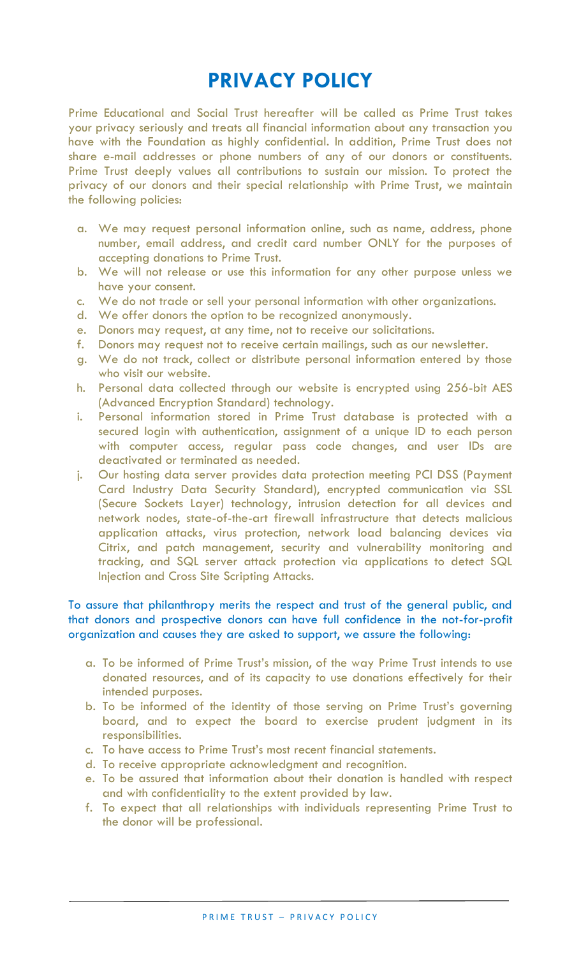# **PRIVACY POLICY**

Prime Educational and Social Trust hereafter will be called as Prime Trust takes your privacy seriously and treats all financial information about any transaction you have with the Foundation as highly confidential. In addition, Prime Trust does not share e-mail addresses or phone numbers of any of our donors or constituents. Prime Trust deeply values all contributions to sustain our mission. To protect the privacy of our donors and their special relationship with Prime Trust, we maintain the following policies:

- a. We may request personal information online, such as name, address, phone number, email address, and credit card number ONLY for the purposes of accepting donations to Prime Trust.
- b. We will not release or use this information for any other purpose unless we have your consent.
- c. We do not trade or sell your personal information with other organizations.
- d. We offer donors the option to be recognized anonymously.
- e. Donors may request, at any time, not to receive our solicitations.
- f. Donors may request not to receive certain mailings, such as our newsletter.
- g. We do not track, collect or distribute personal information entered by those who visit our website.
- h. Personal data collected through our website is encrypted using 256-bit AES (Advanced Encryption Standard) technology.
- i. Personal information stored in Prime Trust database is protected with a secured login with authentication, assignment of a unique ID to each person with computer access, regular pass code changes, and user IDs are deactivated or terminated as needed.
- j. Our hosting data server provides data protection meeting PCI DSS (Payment Card Industry Data Security Standard), encrypted communication via SSL (Secure Sockets Layer) technology, intrusion detection for all devices and network nodes, state-of-the-art firewall infrastructure that detects malicious application attacks, virus protection, network load balancing devices via Citrix, and patch management, security and vulnerability monitoring and tracking, and SQL server attack protection via applications to detect SQL Injection and Cross Site Scripting Attacks.

# To assure that philanthropy merits the respect and trust of the general public, and that donors and prospective donors can have full confidence in the not-for-profit organization and causes they are asked to support, we assure the following:

- a. To be informed of Prime Trust's mission, of the way Prime Trust intends to use donated resources, and of its capacity to use donations effectively for their intended purposes.
- b. To be informed of the identity of those serving on Prime Trust's governing board, and to expect the board to exercise prudent judgment in its responsibilities.
- c. To have access to Prime Trust's most recent financial statements.
- d. To receive appropriate acknowledgment and recognition.
- e. To be assured that information about their donation is handled with respect and with confidentiality to the extent provided by law.
- f. To expect that all relationships with individuals representing Prime Trust to the donor will be professional.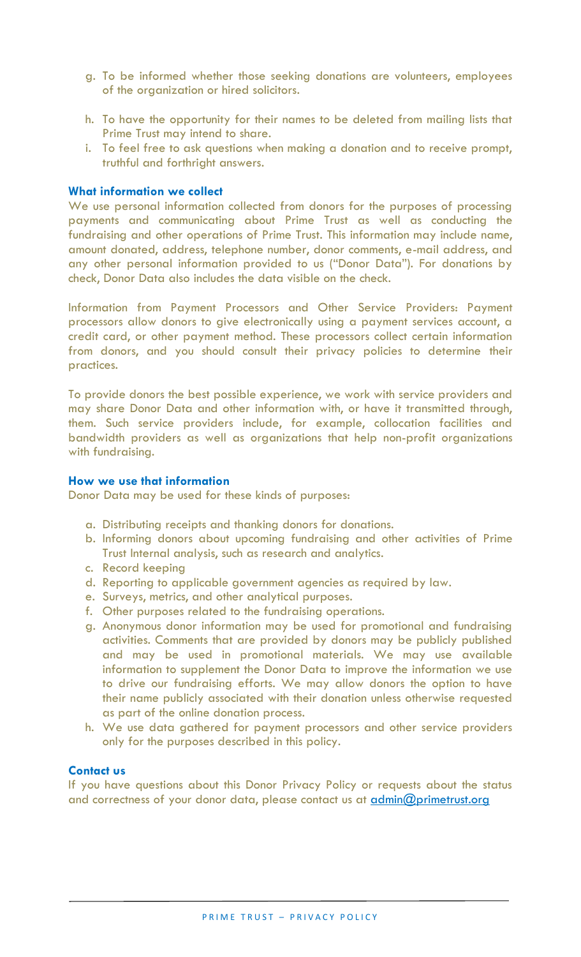- g. To be informed whether those seeking donations are volunteers, employees of the organization or hired solicitors.
- h. To have the opportunity for their names to be deleted from mailing lists that Prime Trust may intend to share.
- i. To feel free to ask questions when making a donation and to receive prompt, truthful and forthright answers.

## **What information we collect**

We use personal information collected from donors for the purposes of processing payments and communicating about Prime Trust as well as conducting the fundraising and other operations of Prime Trust. This information may include name, amount donated, address, telephone number, donor comments, e-mail address, and any other personal information provided to us ("Donor Data"). For donations by check, Donor Data also includes the data visible on the check.

Information from Payment Processors and Other Service Providers: Payment processors allow donors to give electronically using a payment services account, a credit card, or other payment method. These processors collect certain information from donors, and you should consult their privacy policies to determine their practices.

To provide donors the best possible experience, we work with service providers and may share Donor Data and other information with, or have it transmitted through, them. Such service providers include, for example, collocation facilities and bandwidth providers as well as organizations that help non-profit organizations with fundraising.

# **How we use that information**

Donor Data may be used for these kinds of purposes:

- a. Distributing receipts and thanking donors for donations.
- b. Informing donors about upcoming fundraising and other activities of Prime Trust Internal analysis, such as research and analytics.
- c. Record keeping
- d. Reporting to applicable government agencies as required by law.
- e. Surveys, metrics, and other analytical purposes.
- f. Other purposes related to the fundraising operations.
- g. Anonymous donor information may be used for promotional and fundraising activities. Comments that are provided by donors may be publicly published and may be used in promotional materials. We may use available information to supplement the Donor Data to improve the information we use to drive our fundraising efforts. We may allow donors the option to have their name publicly associated with their donation unless otherwise requested as part of the online donation process.
- h. We use data gathered for payment processors and other service providers only for the purposes described in this policy.

### **Contact us**

If you have questions about this Donor Privacy Policy or requests about the status and correctness of your donor data, please contact us at *admin@primetrust.org*